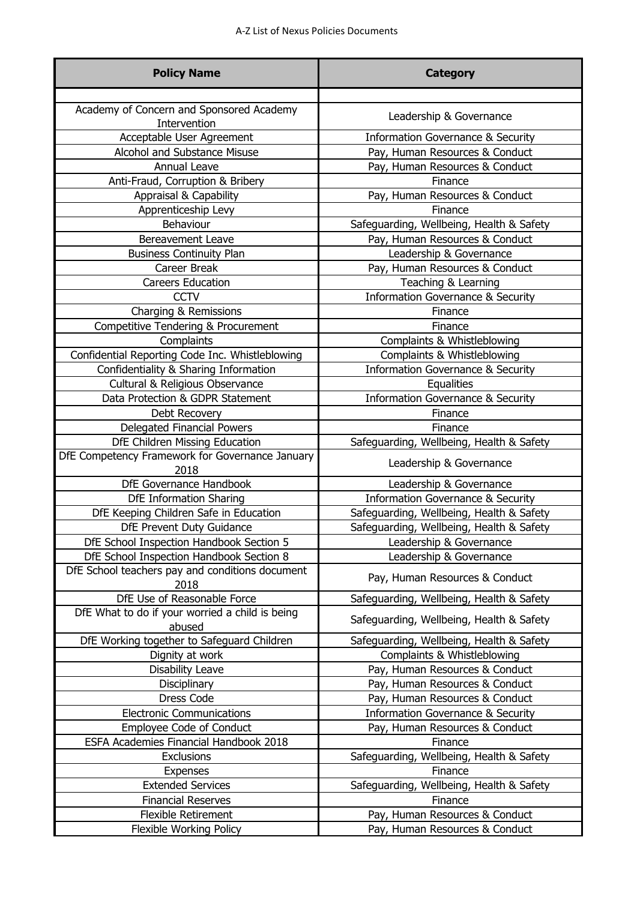| <b>Policy Name</b>                                        | <b>Category</b>                              |
|-----------------------------------------------------------|----------------------------------------------|
|                                                           |                                              |
| Academy of Concern and Sponsored Academy<br>Intervention  | Leadership & Governance                      |
| Acceptable User Agreement                                 | <b>Information Governance &amp; Security</b> |
| Alcohol and Substance Misuse                              | Pay, Human Resources & Conduct               |
| Annual Leave                                              | Pay, Human Resources & Conduct               |
| Anti-Fraud, Corruption & Bribery                          | Finance                                      |
| Appraisal & Capability                                    | Pay, Human Resources & Conduct               |
| Apprenticeship Levy                                       | Finance                                      |
| Behaviour                                                 | Safeguarding, Wellbeing, Health & Safety     |
| <b>Bereavement Leave</b>                                  | Pay, Human Resources & Conduct               |
| <b>Business Continuity Plan</b>                           | Leadership & Governance                      |
| Career Break                                              | Pay, Human Resources & Conduct               |
| <b>Careers Education</b>                                  | Teaching & Learning                          |
| <b>CCTV</b>                                               | <b>Information Governance &amp; Security</b> |
| Charging & Remissions                                     | Finance                                      |
| Competitive Tendering & Procurement                       | Finance                                      |
| Complaints                                                | Complaints & Whistleblowing                  |
| Confidential Reporting Code Inc. Whistleblowing           | Complaints & Whistleblowing                  |
| Confidentiality & Sharing Information                     | <b>Information Governance &amp; Security</b> |
| Cultural & Religious Observance                           | Equalities                                   |
| Data Protection & GDPR Statement                          | <b>Information Governance &amp; Security</b> |
| Debt Recovery                                             | Finance                                      |
| Delegated Financial Powers                                | Finance                                      |
| DfE Children Missing Education                            | Safeguarding, Wellbeing, Health & Safety     |
| DfE Competency Framework for Governance January<br>2018   | Leadership & Governance                      |
| DfE Governance Handbook                                   | Leadership & Governance                      |
| <b>DfE Information Sharing</b>                            | <b>Information Governance &amp; Security</b> |
| DfE Keeping Children Safe in Education                    | Safeguarding, Wellbeing, Health & Safety     |
| DfE Prevent Duty Guidance                                 | Safeguarding, Wellbeing, Health & Safety     |
| DfE School Inspection Handbook Section 5                  | Leadership & Governance                      |
| DfE School Inspection Handbook Section 8                  | Leadership & Governance                      |
| DfE School teachers pay and conditions document<br>2018   | Pay, Human Resources & Conduct               |
| DfE Use of Reasonable Force                               | Safeguarding, Wellbeing, Health & Safety     |
| DfE What to do if your worried a child is being<br>abused | Safeguarding, Wellbeing, Health & Safety     |
| DfE Working together to Safeguard Children                | Safeguarding, Wellbeing, Health & Safety     |
| Dignity at work                                           | Complaints & Whistleblowing                  |
| Disability Leave                                          | Pay, Human Resources & Conduct               |
| Disciplinary                                              | Pay, Human Resources & Conduct               |
| Dress Code                                                | Pay, Human Resources & Conduct               |
| <b>Electronic Communications</b>                          | <b>Information Governance &amp; Security</b> |
| Employee Code of Conduct                                  | Pay, Human Resources & Conduct               |
| ESFA Academies Financial Handbook 2018                    | Finance                                      |
| Exclusions                                                | Safeguarding, Wellbeing, Health & Safety     |
| <b>Expenses</b>                                           | Finance                                      |
| <b>Extended Services</b>                                  | Safeguarding, Wellbeing, Health & Safety     |
| <b>Financial Reserves</b>                                 | Finance                                      |
| <b>Flexible Retirement</b>                                | Pay, Human Resources & Conduct               |
| <b>Flexible Working Policy</b>                            | Pay, Human Resources & Conduct               |